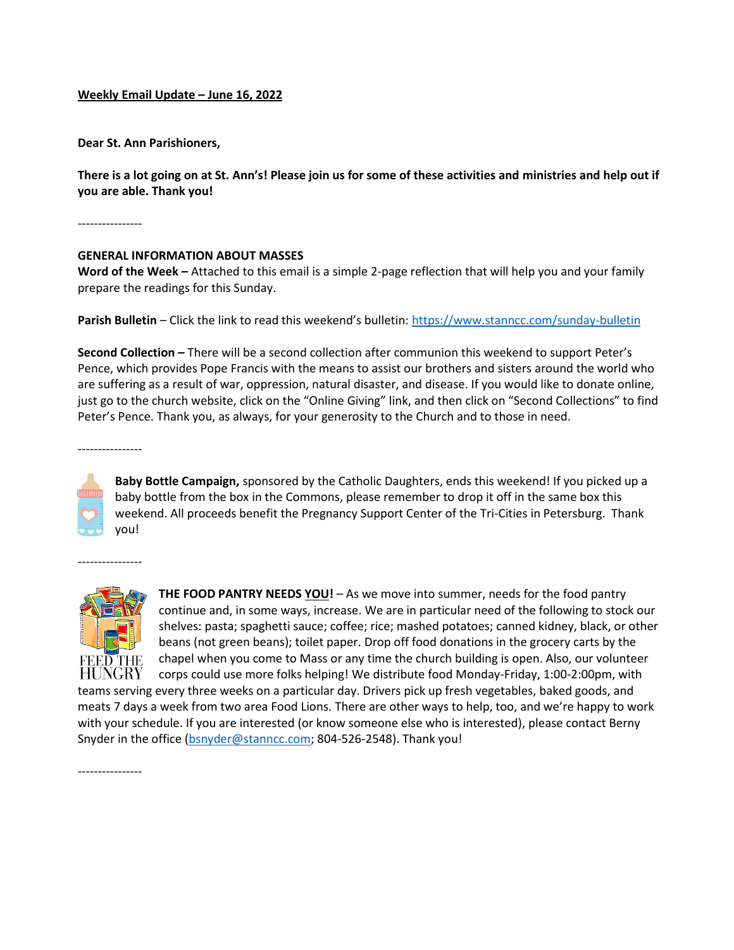## **Weekly Email Update – June 16, 2022**

**Dear St. Ann Parishioners,**

**There is a lot going on at St. Ann's! Please join us for some of these activities and ministries and help out if you are able. Thank you!**

----------------

## **GENERAL INFORMATION ABOUT MASSES**

**Word of the Week –** Attached to this email is a simple 2-page reflection that will help you and your family prepare the readings for this Sunday.

**Parish Bulletin** – Click the link to read this weekend's bulletin: https://www.stanncc.com/sunday-bulletin

**Second Collection –** There will be a second collection after communion this weekend to support Peter's Pence, which provides Pope Francis with the means to assist our brothers and sisters around the world who are suffering as a result of war, oppression, natural disaster, and disease. If you would like to donate online, just go to the church website, click on the "Online Giving" link, and then click on "Second Collections" to find Peter's Pence. Thank you, as always, for your generosity to the Church and to those in need.

----------------

**Baby Bottle Campaign,** sponsored by the Catholic Daughters, ends this weekend! If you picked up a baby bottle from the box in the Commons, please remember to drop it off in the same box this weekend. All proceeds benefit the Pregnancy Support Center of the Tri-Cities in Petersburg. Thank you!

PHF. HUNGRY

----------------

**THE FOOD PANTRY NEEDS YOU!** – As we move into summer, needs for the food pantry continue and, in some ways, increase. We are in particular need of the following to stock our shelves: pasta; spaghetti sauce; coffee; rice; mashed potatoes; canned kidney, black, or other beans (not green beans); toilet paper. Drop off food donations in the grocery carts by the chapel when you come to Mass or any time the church building is open. Also, our volunteer corps could use more folks helping! We distribute food Monday-Friday, 1:00-2:00pm, with

teams serving every three weeks on a particular day. Drivers pick up fresh vegetables, baked goods, and meats 7 days a week from two area Food Lions. There are other ways to help, too, and we're happy to work with your schedule. If you are interested (or know someone else who is interested), please contact Berny Snyder in the office (bsnyder@stanncc.com; 804-526-2548). Thank you!

----------------